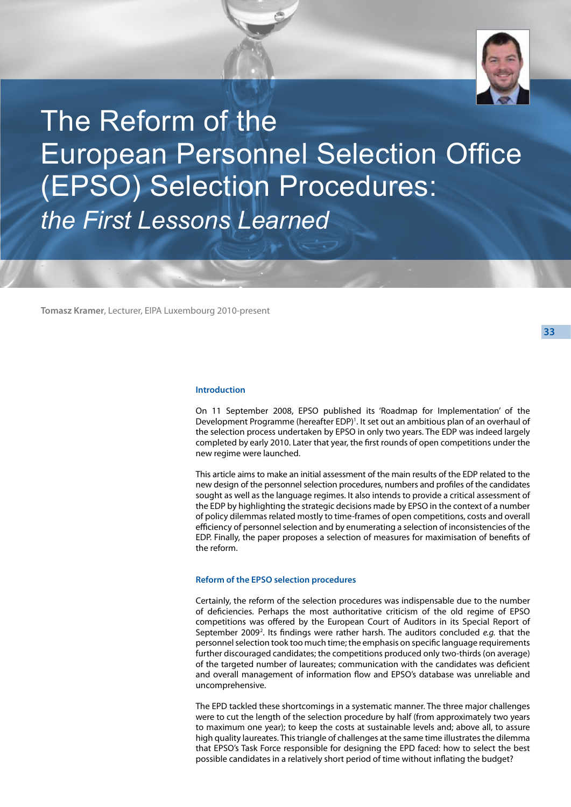

The Reform of the European Personnel Selection Office (EPSO) Selection Procedures: *the First Lessons Learned*

**Tomasz Kramer**, Lecturer, EIPA Luxembourg 2010-present

# **Introduction**

On 11 September 2008, EPSO published its 'Roadmap for Implementation' of the Development Programme (hereafter EDP)<sup>1</sup>. It set out an ambitious plan of an overhaul of the selection process undertaken by EPSO in only two years. The EDP was indeed largely completed by early 2010. Later that year, the first rounds of open competitions under the new regime were launched.

This article aims to make an initial assessment of the main results of the EDP related to the new design of the personnel selection procedures, numbers and profiles of the candidates sought as well as the language regimes. It also intends to provide a critical assessment of the EDP by highlighting the strategic decisions made by EPSO in the context of a number of policy dilemmas related mostly to time-frames of open competitions, costs and overall efficiency of personnel selection and by enumerating a selection of inconsistencies of the EDP. Finally, the paper proposes a selection of measures for maximisation of benefits of the reform.

## **Reform of the EPSO selection procedures**

Certainly, the reform of the selection procedures was indispensable due to the number of deficiencies. Perhaps the most authoritative criticism of the old regime of EPSO competitions was offered by the European Court of Auditors in its Special Report of September 2009<sup>2</sup>. Its findings were rather harsh. The auditors concluded *e.g.* that the personnel selection took too much time; the emphasis on specific language requirements further discouraged candidates; the competitions produced only two-thirds (on average) of the targeted number of laureates; communication with the candidates was deficient and overall management of information flow and EPSO's database was unreliable and uncomprehensive.

The EPD tackled these shortcomings in a systematic manner. The three major challenges were to cut the length of the selection procedure by half (from approximately two years to maximum one year); to keep the costs at sustainable levels and; above all, to assure high quality laureates. This triangle of challenges at the same time illustrates the dilemma that EPSO's Task Force responsible for designing the EPD faced: how to select the best possible candidates in a relatively short period of time without inflating the budget?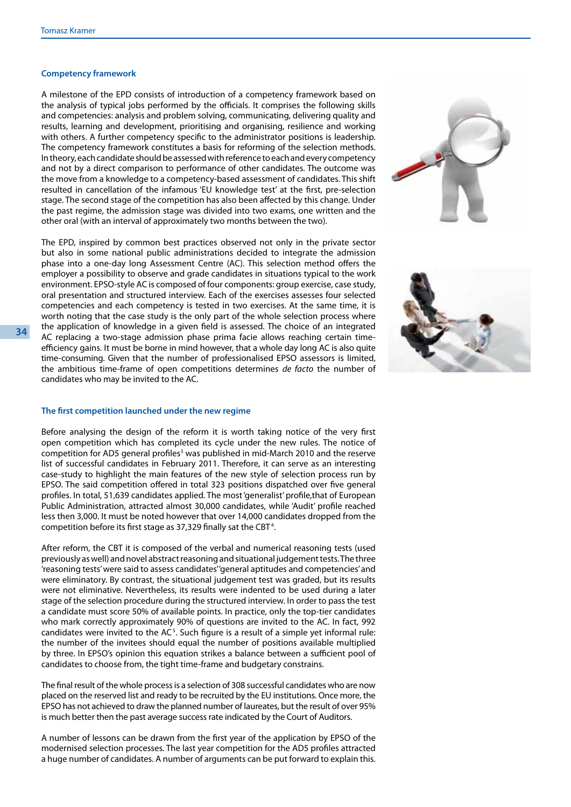# **Competency framework**

A milestone of the EPD consists of introduction of a competency framework based on the analysis of typical jobs performed by the officials. It comprises the following skills and competencies: analysis and problem solving, communicating, delivering quality and results, learning and development, prioritising and organising, resilience and working with others. A further competency specific to the administrator positions is leadership. The competency framework constitutes a basis for reforming of the selection methods. In theory, each candidate should be assessed with reference to each and every competency and not by a direct comparison to performance of other candidates. The outcome was the move from a knowledge to a competency-based assessment of candidates. This shift resulted in cancellation of the infamous 'EU knowledge test' at the first, pre-selection stage. The second stage of the competition has also been affected by this change. Under the past regime, the admission stage was divided into two exams, one written and the other oral (with an interval of approximately two months between the two).

The EPD, inspired by common best practices observed not only in the private sector but also in some national public administrations decided to integrate the admission phase into a one-day long Assessment Centre (AC). This selection method offers the employer a possibility to observe and grade candidates in situations typical to the work environment. EPSO-style AC is composed of four components: group exercise, case study, oral presentation and structured interview. Each of the exercises assesses four selected competencies and each competency is tested in two exercises. At the same time, it is worth noting that the case study is the only part of the whole selection process where the application of knowledge in a given field is assessed. The choice of an integrated AC replacing a two-stage admission phase prima facie allows reaching certain timeefficiency gains. It must be borne in mind however, that a whole day long AC is also quite time-consuming. Given that the number of professionalised EPSO assessors is limited, the ambitious time-frame of open competitions determines *de facto* the number of candidates who may be invited to the AC.





#### **The first competition launched under the new regime**

Before analysing the design of the reform it is worth taking notice of the very first open competition which has completed its cycle under the new rules. The notice of competition for AD5 general profiles<sup>3</sup> was published in mid-March 2010 and the reserve list of successful candidates in February 2011. Therefore, it can serve as an interesting case-study to highlight the main features of the new style of selection process run by EPSO. The said competition offered in total 323 positions dispatched over five general profiles. In total, 51,639 candidates applied. The most 'generalist' profile,that of European Public Administration, attracted almost 30,000 candidates, while 'Audit' profile reached less then 3,000. It must be noted however that over 14,000 candidates dropped from the competition before its first stage as 37,329 finally sat the CBT<sup>4</sup>.

After reform, the CBT it is composed of the verbal and numerical reasoning tests (used previously as well) and novel abstract reasoning and situational judgement tests. The three 'reasoning tests' were said to assess candidates' 'general aptitudes and competencies' and were eliminatory. By contrast, the situational judgement test was graded, but its results were not eliminative. Nevertheless, its results were indented to be used during a later stage of the selection procedure during the structured interview. In order to pass the test a candidate must score 50% of available points. In practice, only the top-tier candidates who mark correctly approximately 90% of questions are invited to the AC. In fact, 992 candidates were invited to the  $AC<sup>5</sup>$ . Such figure is a result of a simple yet informal rule: the number of the invitees should equal the number of positions available multiplied by three. In EPSO's opinion this equation strikes a balance between a sufficient pool of candidates to choose from, the tight time-frame and budgetary constrains.

The final result of the whole process is a selection of 308 successful candidates who are now placed on the reserved list and ready to be recruited by the EU institutions. Once more, the EPSO has not achieved to draw the planned number of laureates, but the result of over 95% is much better then the past average success rate indicated by the Court of Auditors.

A number of lessons can be drawn from the first year of the application by EPSO of the modernised selection processes. The last year competition for the AD5 profiles attracted a huge number of candidates. A number of arguments can be put forward to explain this.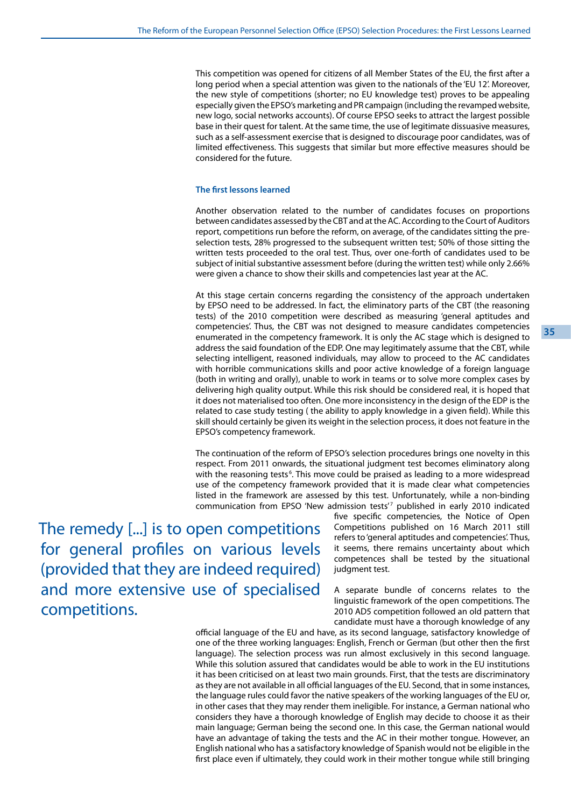This competition was opened for citizens of all Member States of the EU, the first after a long period when a special attention was given to the nationals of the 'EU 12'. Moreover, the new style of competitions (shorter; no EU knowledge test) proves to be appealing especially given the EPSO's marketing and PR campaign (including the revamped website, new logo, social networks accounts). Of course EPSO seeks to attract the largest possible base in their quest for talent. At the same time, the use of legitimate dissuasive measures, such as a self-assessment exercise that is designed to discourage poor candidates, was of limited effectiveness. This suggests that similar but more effective measures should be considered for the future.

## **The first lessons learned**

Another observation related to the number of candidates focuses on proportions between candidates assessed by the CBT and at the AC. According to the Court of Auditors report, competitions run before the reform, on average, of the candidates sitting the preselection tests, 28% progressed to the subsequent written test; 50% of those sitting the written tests proceeded to the oral test. Thus, over one-forth of candidates used to be subject of initial substantive assessment before (during the written test) while only 2.66% were given a chance to show their skills and competencies last year at the AC.

At this stage certain concerns regarding the consistency of the approach undertaken by EPSO need to be addressed. In fact, the eliminatory parts of the CBT (the reasoning tests) of the 2010 competition were described as measuring 'general aptitudes and competencies'. Thus, the CBT was not designed to measure candidates competencies enumerated in the competency framework. It is only the AC stage which is designed to address the said foundation of the EDP. One may legitimately assume that the CBT, while selecting intelligent, reasoned individuals, may allow to proceed to the AC candidates with horrible communications skills and poor active knowledge of a foreign language (both in writing and orally), unable to work in teams or to solve more complex cases by delivering high quality output. While this risk should be considered real, it is hoped that it does not materialised too often. One more inconsistency in the design of the EDP is the related to case study testing ( the ability to apply knowledge in a given field). While this skill should certainly be given its weight in the selection process, it does not feature in the EPSO's competency framework.

The continuation of the reform of EPSO's selection procedures brings one novelty in this respect. From 2011 onwards, the situational judgment test becomes eliminatory along with the reasoning tests<sup>6</sup>. This move could be praised as leading to a more widespread use of the competency framework provided that it is made clear what competencies listed in the framework are assessed by this test. Unfortunately, while a non-binding communication from EPSO 'New admission tests'<sup>7</sup> published in early 2010 indicated

The remedy [...] is to open competitions for general profiles on various levels (provided that they are indeed required) and more extensive use of specialised competitions.

five specific competencies, the Notice of Open Competitions published on 16 March 2011 still refers to 'general aptitudes and competencies'. Thus, it seems, there remains uncertainty about which competences shall be tested by the situational judgment test.

A separate bundle of concerns relates to the linguistic framework of the open competitions. The 2010 AD5 competition followed an old pattern that candidate must have a thorough knowledge of any

official language of the EU and have, as its second language, satisfactory knowledge of one of the three working languages: English, French or German (but other then the first language). The selection process was run almost exclusively in this second language. While this solution assured that candidates would be able to work in the EU institutions it has been criticised on at least two main grounds. First, that the tests are discriminatory as they are not available in all official languages of the EU. Second, that in some instances, the language rules could favor the native speakers of the working languages of the EU or, in other cases that they may render them ineligible. For instance, a German national who considers they have a thorough knowledge of English may decide to choose it as their main language; German being the second one. In this case, the German national would have an advantage of taking the tests and the AC in their mother tongue. However, an English national who has a satisfactory knowledge of Spanish would not be eligible in the first place even if ultimately, they could work in their mother tongue while still bringing